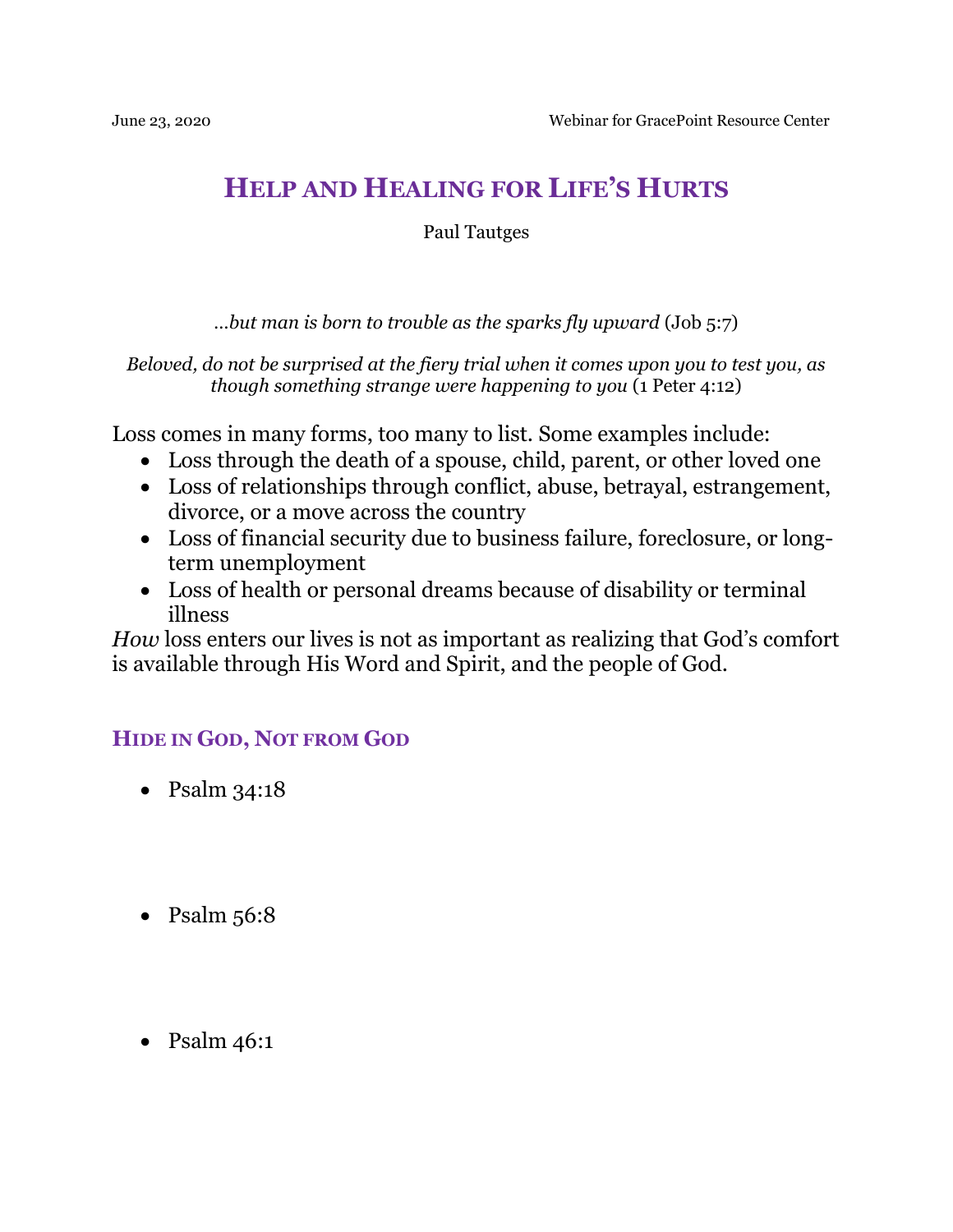# **HELP AND HEALING FOR LIFE'S HURTS**

Paul Tautges

*…but man is born to trouble as the sparks fly upward* (Job 5:7)

*Beloved, do not be surprised at the fiery trial when it comes upon you to test you, as though something strange were happening to you* (1 Peter 4:12)

Loss comes in many forms, too many to list. Some examples include:

- Loss through the death of a spouse, child, parent, or other loved one
- Loss of relationships through conflict, abuse, betrayal, estrangement, divorce, or a move across the country
- Loss of financial security due to business failure, foreclosure, or longterm unemployment
- Loss of health or personal dreams because of disability or terminal illness

*How* loss enters our lives is not as important as realizing that God's comfort is available through His Word and Spirit, and the people of God.

# **HIDE IN GOD, NOT FROM GOD**

- Psalm  $34:18$
- Psalm  $56:8$
- Psalm  $46:1$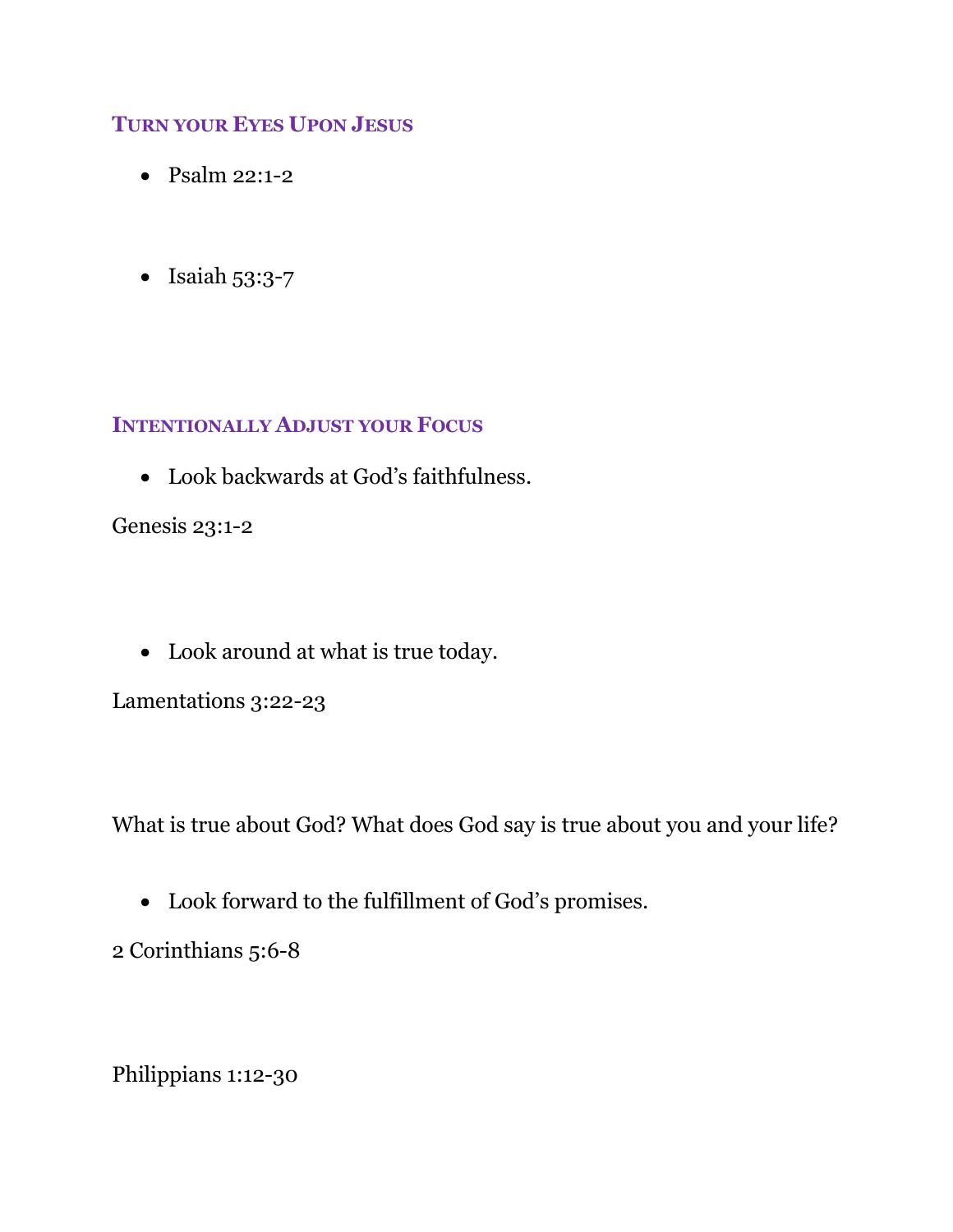#### **TURN YOUR EYES UPON JESUS**

- Psalm 22:1-2
- Isaiah 53:3-7

#### **INTENTIONALLY ADJUST YOUR FOCUS**

Look backwards at God's faithfulness.

Genesis 23:1-2

Look around at what is true today.

Lamentations 3:22-23

What is true about God? What does God say is true about you and your life?

Look forward to the fulfillment of God's promises.

2 Corinthians 5:6-8

Philippians 1:12-30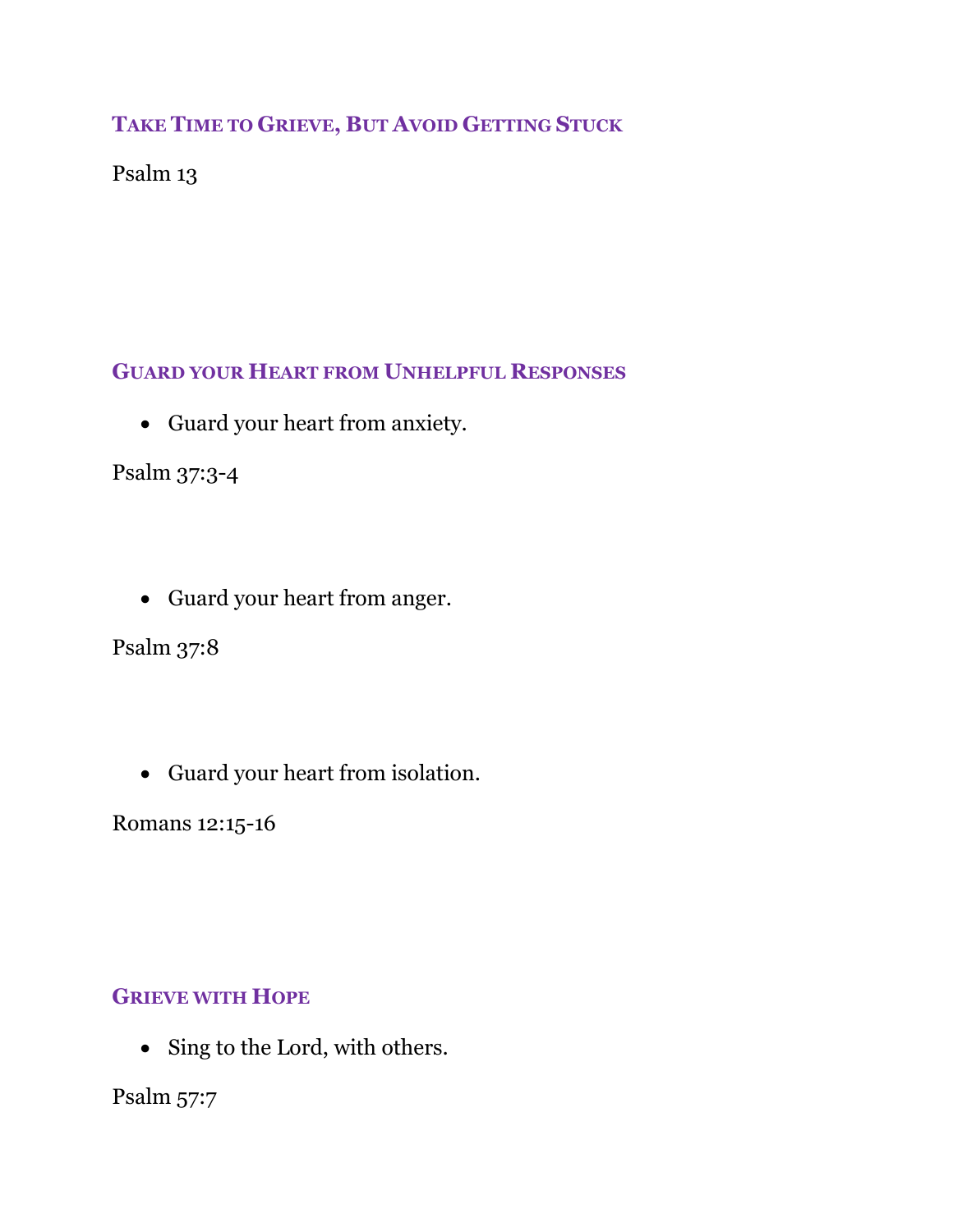# **TAKE TIME TO GRIEVE, BUT AVOID GETTING STUCK**

# Psalm 13

# **GUARD YOUR HEART FROM UNHELPFUL RESPONSES**

Guard your heart from anxiety.

Psalm 37:3-4

Guard your heart from anger.

Psalm 37:8

Guard your heart from isolation.

Romans 12:15-16

# **GRIEVE WITH HOPE**

• Sing to the Lord, with others.

Psalm 57:7